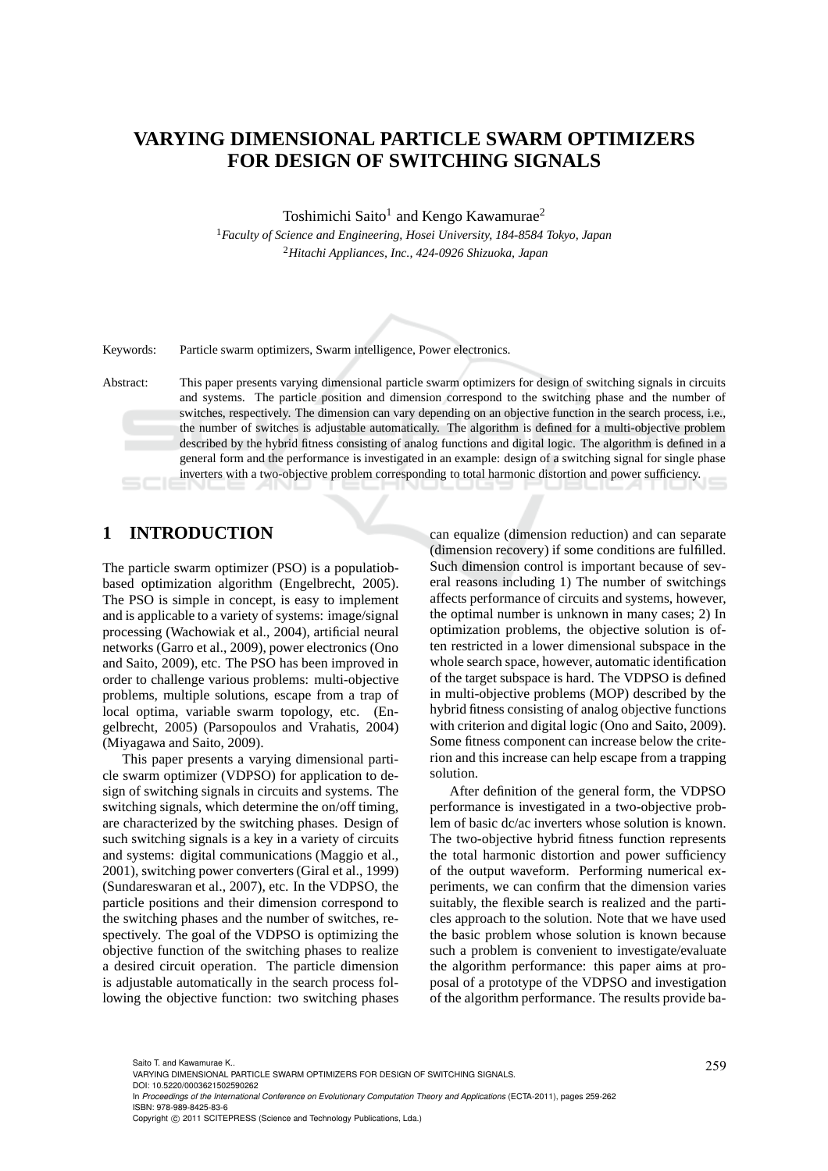# **VARYING DIMENSIONAL PARTICLE SWARM OPTIMIZERS FOR DESIGN OF SWITCHING SIGNALS**

Toshimichi Saito<sup>1</sup> and Kengo Kawamurae<sup>2</sup>

<sup>1</sup>*Faculty of Science and Engineering, Hosei University, 184-8584 Tokyo, Japan* <sup>2</sup>*Hitachi Appliances, Inc., 424-0926 Shizuoka, Japan*

Keywords: Particle swarm optimizers, Swarm intelligence, Power electronics.

Abstract: This paper presents varying dimensional particle swarm optimizers for design of switching signals in circuits and systems. The particle position and dimension correspond to the switching phase and the number of switches, respectively. The dimension can vary depending on an objective function in the search process, i.e., the number of switches is adjustable automatically. The algorithm is defined for a multi-objective problem described by the hybrid fitness consisting of analog functions and digital logic. The algorithm is defined in a general form and the performance is investigated in an example: design of a switching signal for single phase inverters with a two-objective problem corresponding to total harmonic distortion and power sufficiency.

## **1 INTRODUCTION**

The particle swarm optimizer (PSO) is a populatiobbased optimization algorithm (Engelbrecht, 2005). The PSO is simple in concept, is easy to implement and is applicable to a variety of systems: image/signal processing (Wachowiak et al., 2004), artificial neural networks (Garro et al., 2009), power electronics (Ono and Saito, 2009), etc. The PSO has been improved in order to challenge various problems: multi-objective problems, multiple solutions, escape from a trap of local optima, variable swarm topology, etc. (Engelbrecht, 2005) (Parsopoulos and Vrahatis, 2004) (Miyagawa and Saito, 2009).

This paper presents a varying dimensional particle swarm optimizer (VDPSO) for application to design of switching signals in circuits and systems. The switching signals, which determine the on/off timing, are characterized by the switching phases. Design of such switching signals is a key in a variety of circuits and systems: digital communications (Maggio et al., 2001), switching power converters (Giral et al., 1999) (Sundareswaran et al., 2007), etc. In the VDPSO, the particle positions and their dimension correspond to the switching phases and the number of switches, respectively. The goal of the VDPSO is optimizing the objective function of the switching phases to realize a desired circuit operation. The particle dimension is adjustable automatically in the search process following the objective function: two switching phases

can equalize (dimension reduction) and can separate (dimension recovery) if some conditions are fulfilled. Such dimension control is important because of several reasons including 1) The number of switchings affects performance of circuits and systems, however, the optimal number is unknown in many cases; 2) In optimization problems, the objective solution is often restricted in a lower dimensional subspace in the whole search space, however, automatic identification of the target subspace is hard. The VDPSO is defined in multi-objective problems (MOP) described by the hybrid fitness consisting of analog objective functions with criterion and digital logic (Ono and Saito, 2009). Some fitness component can increase below the criterion and this increase can help escape from a trapping solution.

After definition of the general form, the VDPSO performance is investigated in a two-objective problem of basic dc/ac inverters whose solution is known. The two-objective hybrid fitness function represents the total harmonic distortion and power sufficiency of the output waveform. Performing numerical experiments, we can confirm that the dimension varies suitably, the flexible search is realized and the particles approach to the solution. Note that we have used the basic problem whose solution is known because such a problem is convenient to investigate/evaluate the algorithm performance: this paper aims at proposal of a prototype of the VDPSO and investigation of the algorithm performance. The results provide ba-

DOI: 10.5220/0003621502590262

In *Proceedings of the International Conference on Evolutionary Computation Theory and Applications* (ECTA-2011), pages 259-262 ISBN: 978-989-8425-83-6

Saito T. and Kawamurae K..<br>VARYING DIMENSIONAL PARTICLE SWARM OPTIMIZERS FOR DESIGN OF SWITCHING SIGNALS.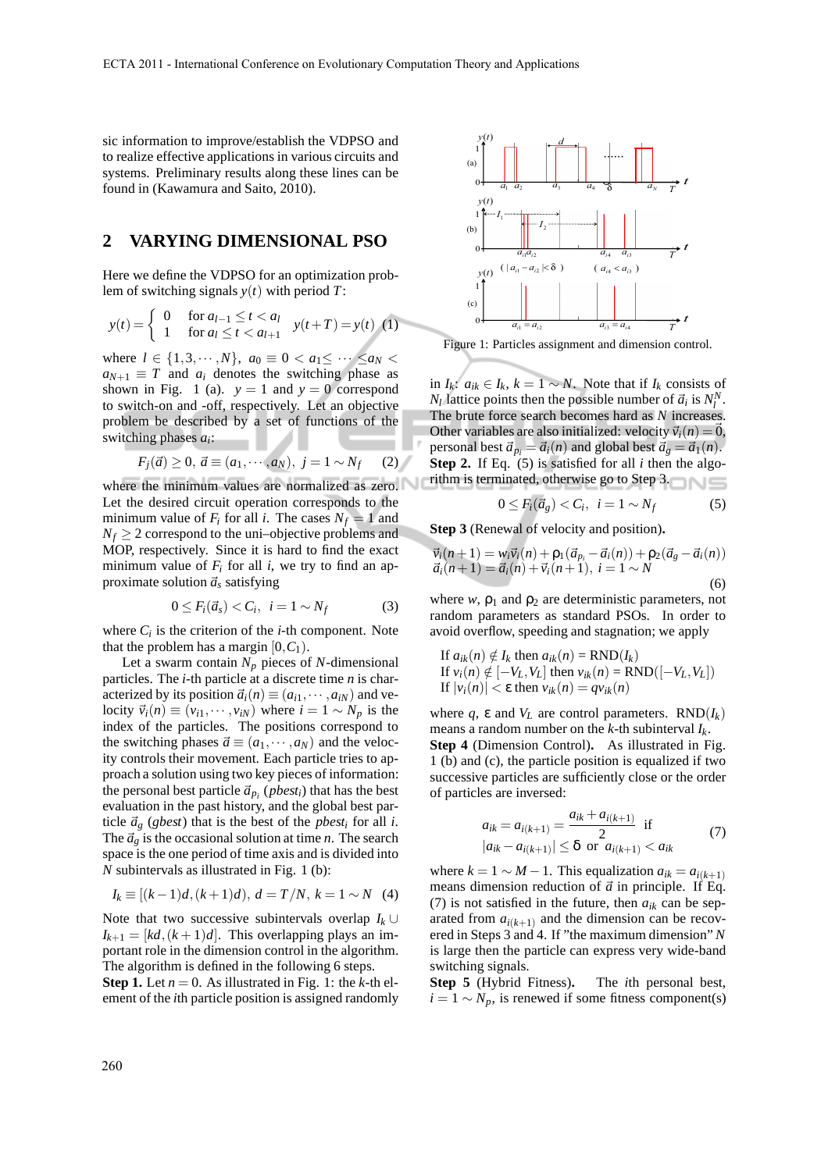sic information to improve/establish the VDPSO and to realize effective applications in various circuits and systems. Preliminary results along these lines can be found in (Kawamura and Saito, 2010).

## **2 VARYING DIMENSIONAL PSO**

Here we define the VDPSO for an optimization problem of switching signals *y*(*t*) with period *T*:

$$
y(t) = \begin{cases} 0 & \text{for } a_{l-1} \le t < a_l \\ 1 & \text{for } a_l \le t < a_{l+1} \end{cases} \quad y(t+T) = y(t) \tag{1}
$$

where  $l \in \{1, 3, \dots, N\}$ ,  $a_0 \equiv 0 < a_1 \leq \dots \leq a_N <$  $a_{N+1} \equiv T$  and  $a_i$  denotes the switching phase as shown in Fig. 1 (a).  $y = 1$  and  $y = 0$  correspond to switch-on and -off, respectively. Let an objective problem be described by a set of functions of the switching phases *a<sup>i</sup>* :

$$
F_j(\vec{a}) \ge 0, \ \vec{a} \equiv (a_1, \cdots, a_N), \ j = 1 \sim N_f
$$
 (2)

where the minimum values are normalized as zero. Let the desired circuit operation corresponds to the minimum value of  $F_i$  for all *i*. The cases  $N_f = 1$  and  $N_f \geq 2$  correspond to the uni–objective problems and MOP, respectively. Since it is hard to find the exact minimum value of  $F_i$  for all  $i$ , we try to find an approximate solution  $\vec{a}_s$  satisfying

$$
0 \le F_i(\vec{a}_s) < C_i, \ \ i = 1 \sim N_f \tag{3}
$$

where  $C_i$  is the criterion of the *i*-th component. Note that the problem has a margin  $[0, C_1)$ .

Let a swarm contain  $N_p$  pieces of *N*-dimensional particles. The *i*-th particle at a discrete time *n* is characterized by its position  $\vec{a}_i(n) \equiv (a_{i1}, \dots, a_{iN})$  and velocity  $\vec{v}_i(n) \equiv (v_{i1}, \dots, v_{iN})$  where  $i = 1 \sim N_p$  is the index of the particles. The positions correspond to the switching phases  $\vec{a} \equiv (a_1, \dots, a_N)$  and the velocity controls their movement. Each particle tries to approach a solution using two key pieces of information: the personal best particle  $\vec{a}_{p_i}$  (*pbest<sub>i</sub>*) that has the best evaluation in the past history, and the global best particle  $\vec{a}_g$  (*gbest*) that is the best of the *pbest<sub>i</sub>* for all *i*. The  $\vec{a}_g$  is the occasional solution at time *n*. The search space is the one period of time axis and is divided into *N* subintervals as illustrated in Fig. 1 (b):

$$
I_k \equiv [(k-1)d, (k+1)d), d = T/N, k = 1 \sim N
$$
 (4)

Note that two successive subintervals overlap  $I_k \cup$  $I_{k+1} = [kd, (k+1)d]$ . This overlapping plays an important role in the dimension control in the algorithm. The algorithm is defined in the following 6 steps.

**Step 1.** Let  $n = 0$ . As illustrated in Fig. 1: the *k*-th element of the *i*th particle position is assigned randomly



Figure 1: Particles assignment and dimension control.

in  $I_k$ :  $a_{ik}$  ∈  $I_k$ ,  $k = 1 \sim N$ . Note that if  $I_k$  consists of  $N_l$  lattice points then the possible number of  $\vec{a}_i$  is  $N_l^N$ . The brute force search becomes hard as *N* increases. Other variables are also initialized: velocity  $\vec{v}_i(n) = \vec{0}$ , personal best  $\vec{a}_{p_i} = \vec{a}_i(n)$  and global best  $\vec{a}_g = \vec{a}_1(n)$ . **Step 2.** If Eq. (5) is satisfied for all *i* then the algorithm is terminated, otherwise go to Step 3.  $n \sim$ 

$$
0 \le F_i(\vec{a}_g) < C_i, \ \ i = 1 \sim N_f \tag{5}
$$

**Step 3** (Renewal of velocity and position)**.**

$$
\vec{v}_i(n+1) = w_i \vec{v}_i(n) + \rho_1(\vec{a}_{p_i} - \vec{a}_i(n)) + \rho_2(\vec{a}_g - \vec{a}_i(n)) \n\vec{a}_i(n+1) = \vec{a}_i(n) + \vec{v}_i(n+1), \quad i = 1 \sim N
$$
\n(6)

where  $w$ ,  $\rho_1$  and  $\rho_2$  are deterministic parameters, not random parameters as standard PSOs. In order to avoid overflow, speeding and stagnation; we apply

If 
$$
a_{ik}(n) \notin I_k
$$
 then  $a_{ik}(n) = \text{RND}(I_k)$   
If  $v_i(n) \notin [-V_L, V_L]$  then  $v_{ik}(n) = \text{RND}([-V_L, V_L])$   
If  $|v_i(n)| < \varepsilon$  then  $v_{ik}(n) = qv_{ik}(n)$ 

where *q*,  $\varepsilon$  and  $V_L$  are control parameters.  $RND(I_k)$ means a random number on the *k*-th subinterval *Ik*. **Step 4** (Dimension Control)**.** As illustrated in Fig. 1 (b) and (c), the particle position is equalized if two successive particles are sufficiently close or the order of particles are inversed:

$$
a_{ik} = a_{i(k+1)} = \frac{a_{ik} + a_{i(k+1)}}{2} \text{ if}
$$
  
\n
$$
|a_{ik} - a_{i(k+1)}| \leq \delta \text{ or } a_{i(k+1)} < a_{ik}
$$
 (7)

where  $k = 1$  ∼ *M* − 1. This equalization  $a_{ik} = a_{i(k+1)}$ means dimension reduction of  $\vec{a}$  in principle. If Eq. (7) is not satisfied in the future, then  $a_{ik}$  can be separated from  $a_{i(k+1)}$  and the dimension can be recovered in Steps 3 and 4. If "the maximum dimension" *N* is large then the particle can express very wide-band switching signals.

**Step 5** (Hybrid Fitness)**.** The *i*th personal best,  $i = 1 \sim N_p$ , is renewed if some fitness component(s)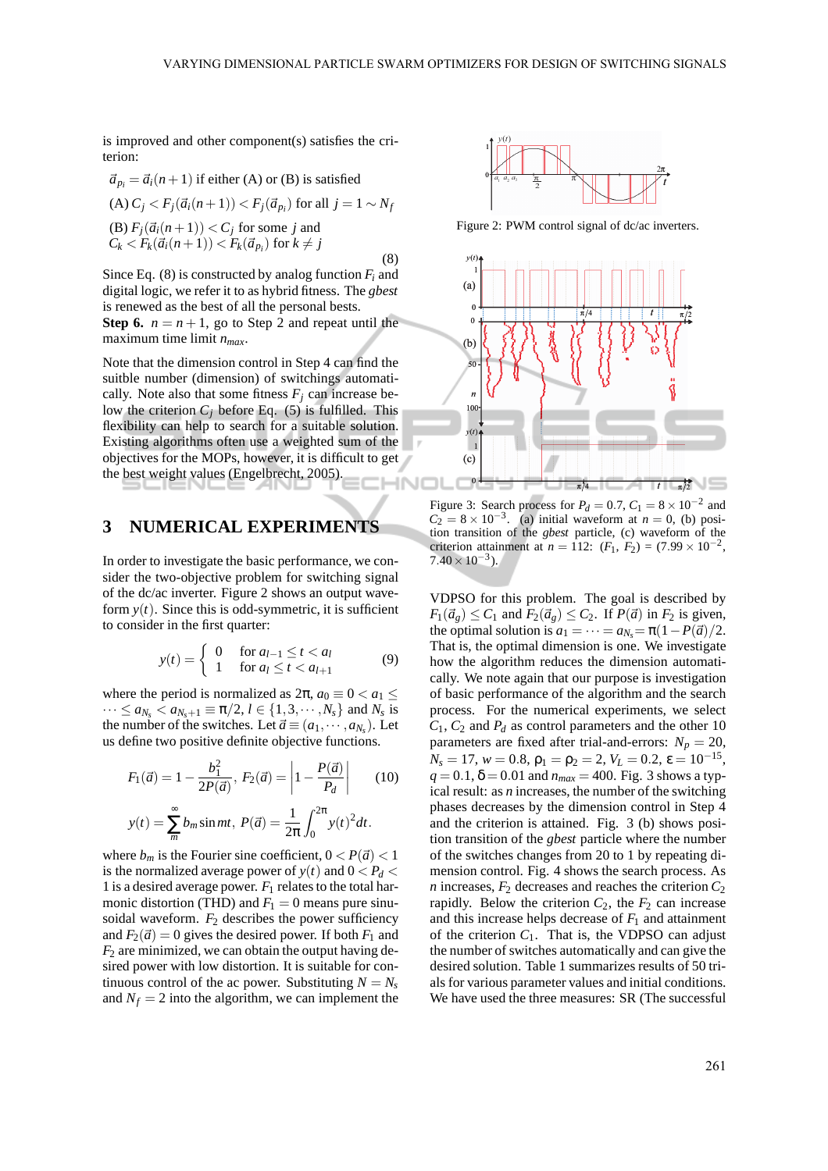is improved and other component(s) satisfies the criterion:

$$
\vec{a}_{pi} = \vec{a}_i(n+1) \text{ if either (A) or (B) is satisfied}
$$
\n(A)  $C_j < F_j(\vec{a}_i(n+1)) < F_j(\vec{a}_p)$  for all  $j = 1 \sim N_f$ \n(B)  $F_j(\vec{a}_i(n+1)) < C_j$  for some  $j$  and\nC<sub>k</sub> <  $F_k(\vec{a}_i(n+1)) < F_k(\vec{a}_{p_i})$  for  $k \neq j$ \n(8)

Since Eq. (8) is constructed by analog function  $F_i$  and digital logic, we refer it to as hybrid fitness. The *gbest* is renewed as the best of all the personal bests. **Step 6.**  $n = n + 1$ , go to Step 2 and repeat until the maximum time limit *nmax*.

Note that the dimension control in Step 4 can find the suitble number (dimension) of switchings automatically. Note also that some fitness  $F_i$  can increase below the criterion  $C_j$  before Eq. (5) is fulfilled. This flexibility can help to search for a suitable solution. Existing algorithms often use a weighted sum of the objectives for the MOPs, however, it is difficult to get the best weight values (Engelbrecht, 2005).

#### **3 NUMERICAL EXPERIMENTS**

In order to investigate the basic performance, we consider the two-objective problem for switching signal of the dc/ac inverter. Figure 2 shows an output waveform  $y(t)$ . Since this is odd-symmetric, it is sufficient to consider in the first quarter:

$$
y(t) = \begin{cases} 0 & \text{for } a_{l-1} \le t < a_l \\ 1 & \text{for } a_l \le t < a_{l+1} \end{cases}
$$
 (9)

where the period is normalized as  $2\pi$ ,  $a_0 \equiv 0 < a_1 <$  $\cdots \le a_{N_s} < a_{N_s+1} \equiv \pi/2, l \in \{1, 3, \cdots, N_s\}$  and  $N_s$  is the number of the switches. Let  $\vec{a} \equiv (a_1, \dots, a_{N_s})$ . Let us define two positive definite objective functions.

$$
F_1(\vec{a}) = 1 - \frac{b_1^2}{2P(\vec{a})}, \ F_2(\vec{a}) = \left| 1 - \frac{P(\vec{a})}{P_d} \right| \tag{10}
$$

$$
y(t) = \sum_{m=1}^{\infty} b_m \sin mt, \ P(\vec{a}) = \frac{1}{2\pi} \int_0^{2\pi} y(t)^2 dt.
$$

where  $b_m$  is the Fourier sine coefficient,  $0 < P(\vec{a}) < 1$ is the normalized average power of  $y(t)$  and  $0 < P_d$ 1 is a desired average power.  $F_1$  relates to the total harmonic distortion (THD) and  $F_1 = 0$  means pure sinusoidal waveform.  $F_2$  describes the power sufficiency and  $F_2(\vec{a}) = 0$  gives the desired power. If both  $F_1$  and  $F_2$  are minimized, we can obtain the output having desired power with low distortion. It is suitable for continuous control of the ac power. Substituting  $N = N_s$ and  $N_f = 2$  into the algorithm, we can implement the



Figure 2: PWM control signal of dc/ac inverters.



Figure 3: Search process for  $P_d = 0.7$ ,  $C_1 = 8 \times 10^{-2}$  and  $C_2 = 8 \times 10^{-3}$ . (a) initial waveform at *n* = 0, (b) position transition of the *gbest* particle, (c) waveform of the criterion attainment at  $n = 112$ :  $(F_1, F_2) = (7.99 \times 10^{-2},$  $7.40 \times 10^{-3}$ ).

VDPSO for this problem. The goal is described by  $F_1(\vec{a}_g) \leq C_1$  and  $F_2(\vec{a}_g) \leq C_2$ . If  $P(\vec{a})$  in  $F_2$  is given, the optimal solution is  $a_1 = \cdots = a_{N_s} = \pi(1 - P(\vec{a})/2)$ . That is, the optimal dimension is one. We investigate how the algorithm reduces the dimension automatically. We note again that our purpose is investigation of basic performance of the algorithm and the search process. For the numerical experiments, we select  $C_1$ ,  $C_2$  and  $P_d$  as control parameters and the other 10 parameters are fixed after trial-and-errors:  $N_p = 20$ ,  $N_s = 17$ ,  $w = 0.8$ ,  $\rho_1 = \rho_2 = 2$ ,  $V_L = 0.2$ ,  $\varepsilon = 10^{-15}$ ,  $q = 0.1, \delta = 0.01$  and  $n_{max} = 400$ . Fig. 3 shows a typical result: as *n* increases, the number of the switching phases decreases by the dimension control in Step 4 and the criterion is attained. Fig. 3 (b) shows position transition of the *gbest* particle where the number of the switches changes from 20 to 1 by repeating dimension control. Fig. 4 shows the search process. As *n* increases,  $F_2$  decreases and reaches the criterion  $C_2$ rapidly. Below the criterion  $C_2$ , the  $F_2$  can increase and this increase helps decrease of  $F_1$  and attainment of the criterion  $C_1$ . That is, the VDPSO can adjust the number of switches automatically and can give the desired solution. Table 1 summarizes results of 50 trials for various parameter values and initial conditions. We have used the three measures: SR (The successful